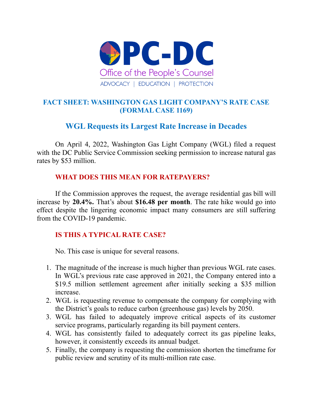

## **FACT SHEET: WASHINGTON GAS LIGHT COMPANY'S RATE CASE (FORMAL CASE 1169)**

# **WGL Requests its Largest Rate Increase in Decades**

On April 4, 2022, Washington Gas Light Company (WGL) filed a request with the DC Public Service Commission seeking permission to increase natural gas rates by \$53 million.

### **WHAT DOES THIS MEAN FOR RATEPAYERS?**

If the Commission approves the request, the average residential gas bill will increase by **20.4%.** That's about **\$16.48 per month**. The rate hike would go into effect despite the lingering economic impact many consumers are still suffering from the COVID-19 pandemic.

## **IS THIS A TYPICAL RATE CASE?**

No. This case is unique for several reasons.

- 1. The magnitude of the increase is much higher than previous WGL rate cases. In WGL's previous rate case approved in 2021, the Company entered into a \$19.5 million settlement agreement after initially seeking a \$35 million increase.
- 2. WGL is requesting revenue to compensate the company for complying with the District's goals to reduce carbon (greenhouse gas) levels by 2050.
- 3. WGL has failed to adequately improve critical aspects of its customer service programs, particularly regarding its bill payment centers.
- 4. WGL has consistently failed to adequately correct its gas pipeline leaks, however, it consistently exceeds its annual budget.
- 5. Finally, the company is requesting the commission shorten the timeframe for public review and scrutiny of its multi-million rate case.